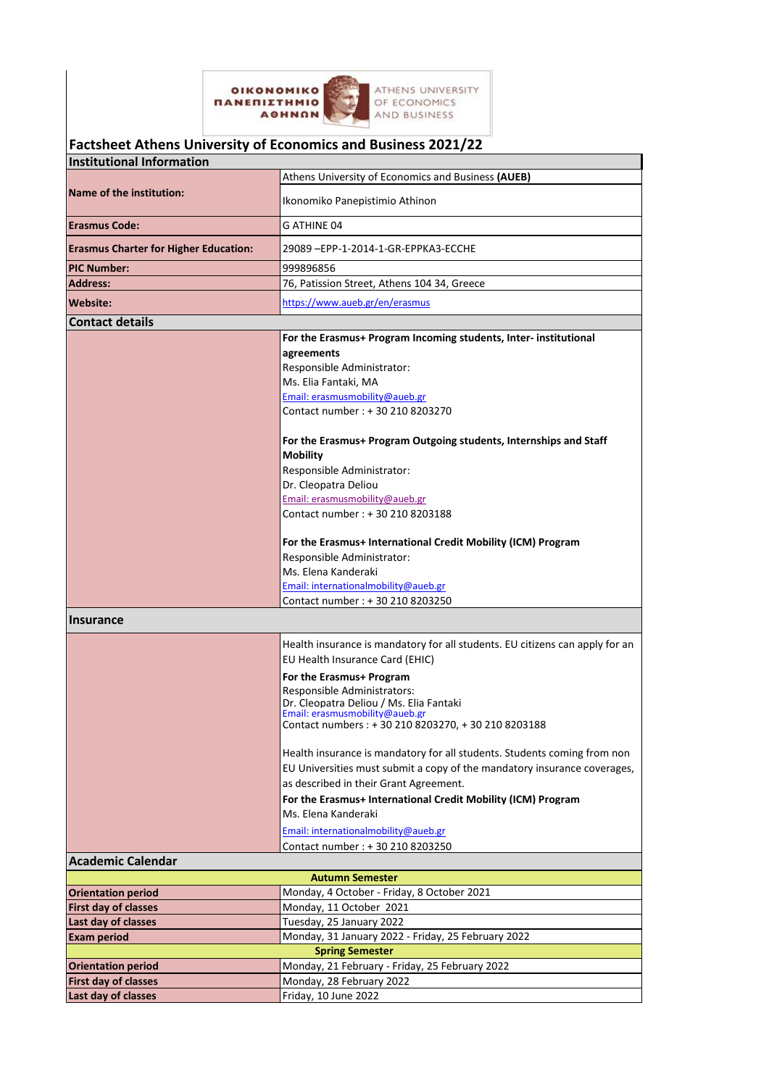

|                                              | Factsheet Athens University of Economics and Business 2021/22                                                                                                                                                                                                                                                                                                                                                                                                                                                                                      |
|----------------------------------------------|----------------------------------------------------------------------------------------------------------------------------------------------------------------------------------------------------------------------------------------------------------------------------------------------------------------------------------------------------------------------------------------------------------------------------------------------------------------------------------------------------------------------------------------------------|
| <b>Institutional Information</b>             |                                                                                                                                                                                                                                                                                                                                                                                                                                                                                                                                                    |
|                                              | Athens University of Economics and Business (AUEB)                                                                                                                                                                                                                                                                                                                                                                                                                                                                                                 |
| Name of the institution:                     | Ikonomiko Panepistimio Athinon                                                                                                                                                                                                                                                                                                                                                                                                                                                                                                                     |
| <b>Erasmus Code:</b>                         | G ATHINE 04                                                                                                                                                                                                                                                                                                                                                                                                                                                                                                                                        |
| <b>Erasmus Charter for Higher Education:</b> | 29089 - EPP-1-2014-1-GR-EPPKA3-ECCHE                                                                                                                                                                                                                                                                                                                                                                                                                                                                                                               |
| <b>PIC Number:</b>                           | 999896856                                                                                                                                                                                                                                                                                                                                                                                                                                                                                                                                          |
| <b>Address:</b>                              | 76, Patission Street, Athens 104 34, Greece                                                                                                                                                                                                                                                                                                                                                                                                                                                                                                        |
| Website:                                     | https://www.aueb.gr/en/erasmus                                                                                                                                                                                                                                                                                                                                                                                                                                                                                                                     |
| <b>Contact details</b>                       |                                                                                                                                                                                                                                                                                                                                                                                                                                                                                                                                                    |
|                                              | For the Erasmus+ Program Incoming students, Inter- institutional<br>agreements<br>Responsible Administrator:<br>Ms. Elia Fantaki, MA<br>Email: erasmusmobility@aueb.gr<br>Contact number : +30 210 8203270<br>For the Erasmus+ Program Outgoing students, Internships and Staff<br><b>Mobility</b><br>Responsible Administrator:<br>Dr. Cleopatra Deliou<br>Email: erasmusmobility@aueb.gr<br>Contact number: +30 210 8203188<br>For the Erasmus+ International Credit Mobility (ICM) Program<br>Responsible Administrator:<br>Ms. Elena Kanderaki |
|                                              | Email: internationalmobility@aueb.gr                                                                                                                                                                                                                                                                                                                                                                                                                                                                                                               |
|                                              | Contact number : + 30 210 8203250                                                                                                                                                                                                                                                                                                                                                                                                                                                                                                                  |
| <b>Insurance</b>                             |                                                                                                                                                                                                                                                                                                                                                                                                                                                                                                                                                    |
|                                              | Health insurance is mandatory for all students. EU citizens can apply for an<br>EU Health Insurance Card (EHIC)<br>For the Erasmus+ Program<br>Responsible Administrators:<br>Dr. Cleopatra Deliou / Ms. Elia Fantaki<br>Email: erasmusmobility@aueb.gr<br>Contact numbers : + 30 210 8203270, + 30 210 8203188                                                                                                                                                                                                                                    |
|                                              | Health insurance is mandatory for all students. Students coming from non<br>EU Universities must submit a copy of the mandatory insurance coverages,<br>as described in their Grant Agreement.<br>For the Erasmus+ International Credit Mobility (ICM) Program<br>Ms. Elena Kanderaki                                                                                                                                                                                                                                                              |
|                                              | Email: internationalmobility@aueb.gr<br>Contact number : +30 210 8203250                                                                                                                                                                                                                                                                                                                                                                                                                                                                           |
| <b>Academic Calendar</b>                     |                                                                                                                                                                                                                                                                                                                                                                                                                                                                                                                                                    |
|                                              | <b>Autumn Semester</b>                                                                                                                                                                                                                                                                                                                                                                                                                                                                                                                             |
| <b>Orientation period</b>                    | Monday, 4 October - Friday, 8 October 2021                                                                                                                                                                                                                                                                                                                                                                                                                                                                                                         |
| First day of classes                         | Monday, 11 October 2021                                                                                                                                                                                                                                                                                                                                                                                                                                                                                                                            |
| Last day of classes                          | Tuesday, 25 January 2022                                                                                                                                                                                                                                                                                                                                                                                                                                                                                                                           |
| <b>Exam period</b>                           | Monday, 31 January 2022 - Friday, 25 February 2022                                                                                                                                                                                                                                                                                                                                                                                                                                                                                                 |
|                                              | <b>Spring Semester</b>                                                                                                                                                                                                                                                                                                                                                                                                                                                                                                                             |
| <b>Orientation period</b>                    | Monday, 21 February - Friday, 25 February 2022                                                                                                                                                                                                                                                                                                                                                                                                                                                                                                     |
| <b>First day of classes</b>                  | Monday, 28 February 2022                                                                                                                                                                                                                                                                                                                                                                                                                                                                                                                           |
| Last day of classes                          | Friday, 10 June 2022                                                                                                                                                                                                                                                                                                                                                                                                                                                                                                                               |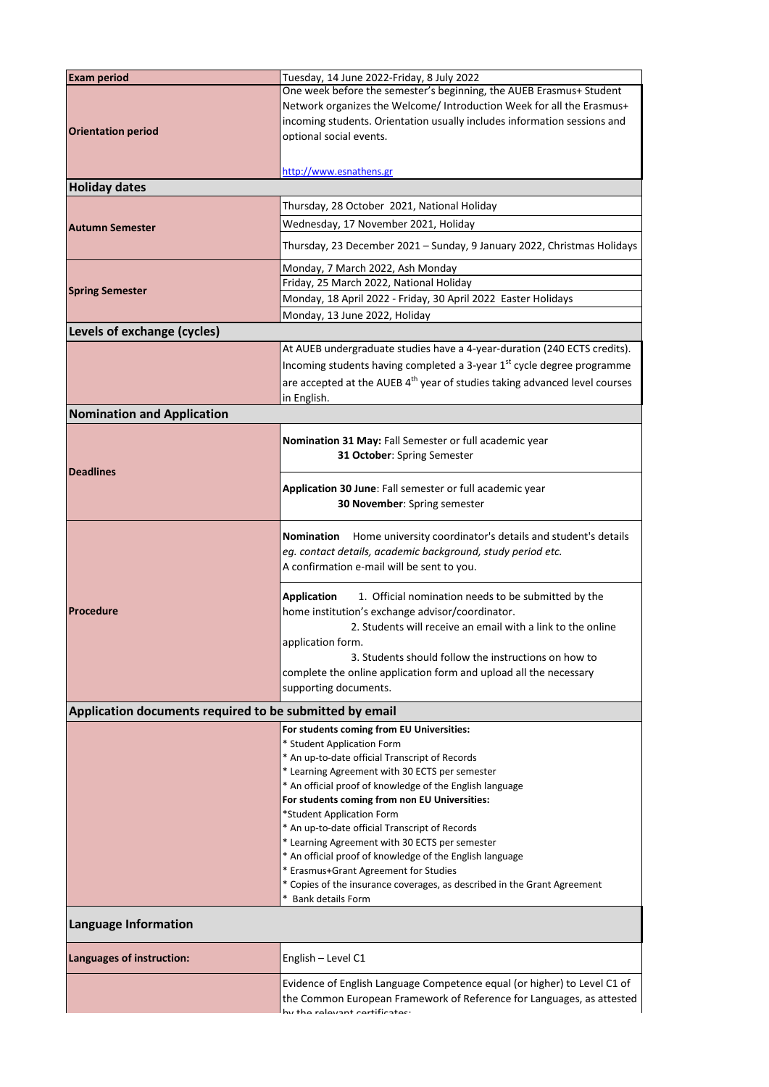| <b>Exam period</b>                                      | Tuesday, 14 June 2022-Friday, 8 July 2022                                                        |  |
|---------------------------------------------------------|--------------------------------------------------------------------------------------------------|--|
|                                                         | One week before the semester's beginning, the AUEB Erasmus+ Student                              |  |
|                                                         | Network organizes the Welcome/ Introduction Week for all the Erasmus+                            |  |
|                                                         | incoming students. Orientation usually includes information sessions and                         |  |
| <b>Orientation period</b>                               | optional social events.                                                                          |  |
|                                                         |                                                                                                  |  |
|                                                         | http://www.esnathens.gr                                                                          |  |
| <b>Holiday dates</b>                                    |                                                                                                  |  |
|                                                         | Thursday, 28 October 2021, National Holiday                                                      |  |
|                                                         | Wednesday, 17 November 2021, Holiday                                                             |  |
| <b>Autumn Semester</b>                                  |                                                                                                  |  |
|                                                         | Thursday, 23 December 2021 - Sunday, 9 January 2022, Christmas Holidays                          |  |
|                                                         | Monday, 7 March 2022, Ash Monday                                                                 |  |
| <b>Spring Semester</b>                                  | Friday, 25 March 2022, National Holiday                                                          |  |
|                                                         | Monday, 18 April 2022 - Friday, 30 April 2022 Easter Holidays                                    |  |
|                                                         | Monday, 13 June 2022, Holiday                                                                    |  |
| Levels of exchange (cycles)                             |                                                                                                  |  |
|                                                         | At AUEB undergraduate studies have a 4-year-duration (240 ECTS credits).                         |  |
|                                                         | Incoming students having completed a 3-year 1 <sup>st</sup> cycle degree programme               |  |
|                                                         | are accepted at the AUEB 4 <sup>th</sup> year of studies taking advanced level courses           |  |
|                                                         | in English.                                                                                      |  |
| <b>Nomination and Application</b>                       |                                                                                                  |  |
|                                                         |                                                                                                  |  |
|                                                         | Nomination 31 May: Fall Semester or full academic year                                           |  |
|                                                         | 31 October: Spring Semester                                                                      |  |
| <b>Deadlines</b>                                        |                                                                                                  |  |
|                                                         | Application 30 June: Fall semester or full academic year                                         |  |
|                                                         | 30 November: Spring semester                                                                     |  |
|                                                         |                                                                                                  |  |
|                                                         | Home university coordinator's details and student's details<br>Nomination                        |  |
|                                                         | eg. contact details, academic background, study period etc.                                      |  |
|                                                         | A confirmation e-mail will be sent to you.                                                       |  |
|                                                         | <b>Application</b><br>1. Official nomination needs to be submitted by the                        |  |
| Procedure                                               | home institution's exchange advisor/coordinator.                                                 |  |
|                                                         | 2. Students will receive an email with a link to the online                                      |  |
|                                                         | application form.                                                                                |  |
|                                                         | 3. Students should follow the instructions on how to                                             |  |
|                                                         | complete the online application form and upload all the necessary                                |  |
|                                                         | supporting documents.                                                                            |  |
| Application documents required to be submitted by email |                                                                                                  |  |
|                                                         | For students coming from EU Universities:                                                        |  |
|                                                         | * Student Application Form                                                                       |  |
|                                                         | * An up-to-date official Transcript of Records                                                   |  |
|                                                         | * Learning Agreement with 30 ECTS per semester                                                   |  |
|                                                         | * An official proof of knowledge of the English language                                         |  |
|                                                         | For students coming from non EU Universities:                                                    |  |
|                                                         | *Student Application Form                                                                        |  |
|                                                         | * An up-to-date official Transcript of Records<br>* Learning Agreement with 30 ECTS per semester |  |
|                                                         | * An official proof of knowledge of the English language                                         |  |
|                                                         | * Erasmus+Grant Agreement for Studies                                                            |  |
|                                                         | * Copies of the insurance coverages, as described in the Grant Agreement                         |  |
|                                                         | * Bank details Form                                                                              |  |
| <b>Language Information</b>                             |                                                                                                  |  |
| Languages of instruction:                               | English - Level C1                                                                               |  |
|                                                         | Evidence of English Language Competence equal (or higher) to Level C1 of                         |  |
|                                                         | the Common European Framework of Reference for Languages, as attested                            |  |
|                                                         | tha ralaunnt cartificator:                                                                       |  |